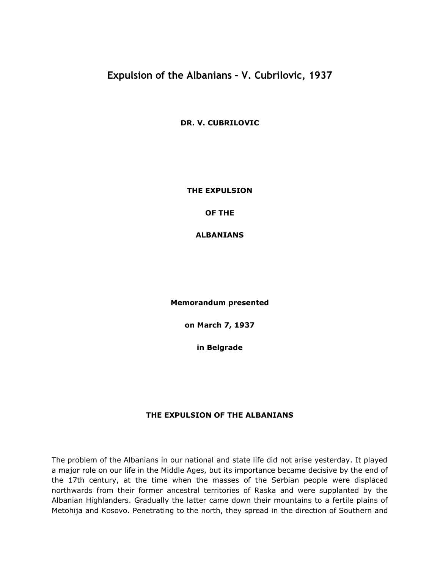# **Expulsion of the Albanians – V. Cubrilovic, 1937**

**DR. V. CUBRILOVIC**

**THE EXPULSION**

**OF THE**

**ALBANIANS**

**Memorandum presented**

**on March 7, 1937**

**in Belgrade**

## **THE EXPULSION OF THE ALBANIANS**

The problem of the Albanians in our national and state life did not arise yesterday. It played a major role on our life in the Middle Ages, but its importance became decisive by the end of the 17th century, at the time when the masses of the Serbian people were displaced northwards from their former ancestral territories of Raska and were supplanted by the Albanian Highlanders. Gradually the latter came down their mountains to a fertile plains of Metohija and Kosovo. Penetrating to the north, they spread in the direction of Southern and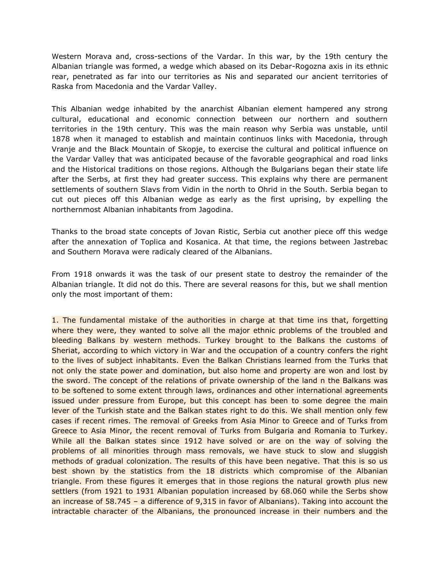Western Morava and, cross-sections of the Vardar. In this war, by the 19th century the Albanian triangle was formed, a wedge which abased on its Debar-Rogozna axis in its ethnic rear, penetrated as far into our territories as Nis and separated our ancient territories of Raska from Macedonia and the Vardar Valley.

This Albanian wedge inhabited by the anarchist Albanian element hampered any strong cultural, educational and economic connection between our northern and southern territories in the 19th century. This was the main reason why Serbia was unstable, until 1878 when it managed to establish and maintain continuos links with Macedonia, through Vranje and the Black Mountain of Skopje, to exercise the cultural and political influence on the Vardar Valley that was anticipated because of the favorable geographical and road links and the Historical traditions on those regions. Although the Bulgarians began their state life after the Serbs, at first they had greater success. This explains why there are permanent settlements of southern Slavs from Vidin in the north to Ohrid in the South. Serbia began to cut out pieces off this Albanian wedge as early as the first uprising, by expelling the northernmost Albanian inhabitants from Jagodina.

Thanks to the broad state concepts of Jovan Ristic, Serbia cut another piece off this wedge after the annexation of Toplica and Kosanica. At that time, the regions between Jastrebac and Southern Morava were radicaly cleared of the Albanians.

From 1918 onwards it was the task of our present state to destroy the remainder of the Albanian triangle. It did not do this. There are several reasons for this, but we shall mention only the most important of them:

1. The fundamental mistake of the authorities in charge at that time ins that, forgetting where they were, they wanted to solve all the major ethnic problems of the troubled and bleeding Balkans by western methods. Turkey brought to the Balkans the customs of Sheriat, according to which victory in War and the occupation of a country confers the right to the lives of subject inhabitants. Even the Balkan Christians learned from the Turks that not only the state power and domination, but also home and property are won and lost by the sword. The concept of the relations of private ownership of the land n the Balkans was to be softened to some extent through laws, ordinances and other international agreements issued under pressure from Europe, but this concept has been to some degree the main lever of the Turkish state and the Balkan states right to do this. We shall mention only few cases if recent rimes. The removal of Greeks from Asia Minor to Greece and of Turks from Greece to Asia Minor, the recent removal of Turks from Bulgaria and Romania to Turkey. While all the Balkan states since 1912 have solved or are on the way of solving the problems of all minorities through mass removals, we have stuck to slow and sluggish methods of gradual colonization. The results of this have been negative. That this is so us best shown by the statistics from the 18 districts which compromise of the Albanian triangle. From these figures it emerges that in those regions the natural growth plus new settlers (from 1921 to 1931 Albanian population increased by 68.060 while the Serbs show an increase of 58.745 – a difference of 9,315 in favor of Albanians). Taking into account the intractable character of the Albanians, the pronounced increase in their numbers and the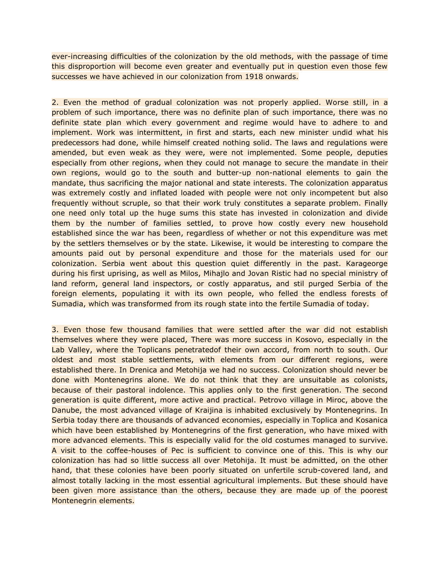ever-increasing difficulties of the colonization by the old methods, with the passage of time this disproportion will become even greater and eventually put in question even those few successes we have achieved in our colonization from 1918 onwards.

2. Even the method of gradual colonization was not properly applied. Worse still, in a problem of such importance, there was no definite plan of such importance, there was no definite state plan which every government and regime would have to adhere to and implement. Work was intermittent, in first and starts, each new minister undid what his predecessors had done, while himself created nothing solid. The laws and regulations were amended, but even weak as they were, were not implemented. Some people, deputies especially from other regions, when they could not manage to secure the mandate in their own regions, would go to the south and butter-up non-national elements to gain the mandate, thus sacrificing the major national and state interests. The colonization apparatus was extremely costly and inflated loaded with people were not only incompetent but also frequently without scruple, so that their work truly constitutes a separate problem. Finally one need only total up the huge sums this state has invested in colonization and divide them by the number of families settled, to prove how costly every new household established since the war has been, regardless of whether or not this expenditure was met by the settlers themselves or by the state. Likewise, it would be interesting to compare the amounts paid out by personal expenditure and those for the materials used for our colonization. Serbia went about this question quiet differently in the past. Karageorge during his first uprising, as well as Milos, Mihajlo and Jovan Ristic had no special ministry of land reform, general land inspectors, or costly apparatus, and stil purged Serbia of the foreign elements, populating it with its own people, who felled the endless forests of Sumadia, which was transformed from its rough state into the fertile Sumadia of today.

3. Even those few thousand families that were settled after the war did not establish themselves where they were placed, There was more success in Kosovo, especially in the Lab Valley, where the Toplicans penetratedof their own accord, from north to south. Our oldest and most stable settlements, with elements from our different regions, were established there. In Drenica and Metohija we had no success. Colonization should never be done with Montenegrins alone. We do not think that they are unsuitable as colonists, because of their pastoral indolence. This applies only to the first generation. The second generation is quite different, more active and practical. Petrovo village in Miroc, above the Danube, the most advanced village of Kraijina is inhabited exclusively by Montenegrins. In Serbia today there are thousands of advanced economies, especially in Toplica and Kosanica which have been established by Montenegrins of the first generation, who have mixed with more advanced elements. This is especially valid for the old costumes managed to survive. A visit to the coffee-houses of Pec is sufficient to convince one of this. This is why our colonization has had so little success all over Metohija. It must be admitted, on the other hand, that these colonies have been poorly situated on unfertile scrub-covered land, and almost totally lacking in the most essential agricultural implements. But these should have been given more assistance than the others, because they are made up of the poorest Montenegrin elements.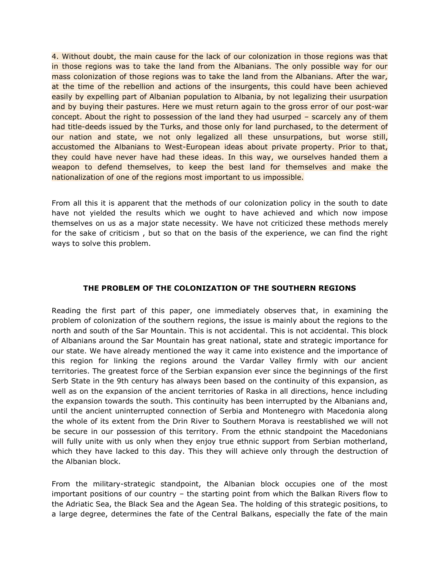4. Without doubt, the main cause for the lack of our colonization in those regions was that in those regions was to take the land from the Albanians. The only possible way for our mass colonization of those regions was to take the land from the Albanians. After the war, at the time of the rebellion and actions of the insurgents, this could have been achieved easily by expelling part of Albanian population to Albania, by not legalizing their usurpation and by buying their pastures. Here we must return again to the gross error of our post-war concept. About the right to possession of the land they had usurped – scarcely any of them had title-deeds issued by the Turks, and those only for land purchased, to the determent of our nation and state, we not only legalized all these unsurpations, but worse still, accustomed the Albanians to West-European ideas about private property. Prior to that, they could have never have had these ideas. In this way, we ourselves handed them a weapon to defend themselves, to keep the best land for themselves and make the nationalization of one of the regions most important to us impossible.

From all this it is apparent that the methods of our colonization policy in the south to date have not yielded the results which we ought to have achieved and which now impose themselves on us as a major state necessity. We have not criticized these methods merely for the sake of criticism , but so that on the basis of the experience, we can find the right ways to solve this problem.

## **THE PROBLEM OF THE COLONIZATION OF THE SOUTHERN REGIONS**

Reading the first part of this paper, one immediately observes that, in examining the problem of colonization of the southern regions, the issue is mainly about the regions to the north and south of the Sar Mountain. This is not accidental. This is not accidental. This block of Albanians around the Sar Mountain has great national, state and strategic importance for our state. We have already mentioned the way it came into existence and the importance of this region for linking the regions around the Vardar Valley firmly with our ancient territories. The greatest force of the Serbian expansion ever since the beginnings of the first Serb State in the 9th century has always been based on the continuity of this expansion, as well as on the expansion of the ancient territories of Raska in all directions, hence including the expansion towards the south. This continuity has been interrupted by the Albanians and, until the ancient uninterrupted connection of Serbia and Montenegro with Macedonia along the whole of its extent from the Drin River to Southern Morava is reestablished we will not be secure in our possession of this territory. From the ethnic standpoint the Macedonians will fully unite with us only when they enjoy true ethnic support from Serbian motherland, which they have lacked to this day. This they will achieve only through the destruction of the Albanian block.

From the military-strategic standpoint, the Albanian block occupies one of the most important positions of our country – the starting point from which the Balkan Rivers flow to the Adriatic Sea, the Black Sea and the Agean Sea. The holding of this strategic positions, to a large degree, determines the fate of the Central Balkans, especially the fate of the main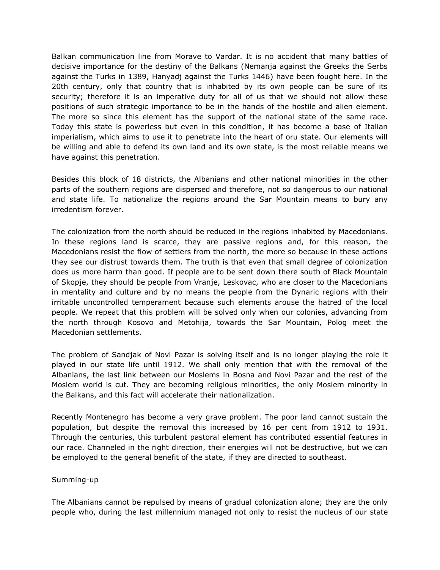Balkan communication line from Morave to Vardar. It is no accident that many battles of decisive importance for the destiny of the Balkans (Nemanja against the Greeks the Serbs against the Turks in 1389, Hanyadj against the Turks 1446) have been fought here. In the 20th century, only that country that is inhabited by its own people can be sure of its security; therefore it is an imperative duty for all of us that we should not allow these positions of such strategic importance to be in the hands of the hostile and alien element. The more so since this element has the support of the national state of the same race. Today this state is powerless but even in this condition, it has become a base of Italian imperialism, which aims to use it to penetrate into the heart of oru state. Our elements will be willing and able to defend its own land and its own state, is the most reliable means we have against this penetration.

Besides this block of 18 districts, the Albanians and other national minorities in the other parts of the southern regions are dispersed and therefore, not so dangerous to our national and state life. To nationalize the regions around the Sar Mountain means to bury any irredentism forever.

The colonization from the north should be reduced in the regions inhabited by Macedonians. In these regions land is scarce, they are passive regions and, for this reason, the Macedonians resist the flow of settlers from the north, the more so because in these actions they see our distrust towards them. The truth is that even that small degree of colonization does us more harm than good. If people are to be sent down there south of Black Mountain of Skopje, they should be people from Vranje, Leskovac, who are closer to the Macedonians in mentality and culture and by no means the people from the Dynaric regions with their irritable uncontrolled temperament because such elements arouse the hatred of the local people. We repeat that this problem will be solved only when our colonies, advancing from the north through Kosovo and Metohija, towards the Sar Mountain, Polog meet the Macedonian settlements.

The problem of Sandjak of Novi Pazar is solving itself and is no longer playing the role it played in our state life until 1912. We shall only mention that with the removal of the Albanians, the last link between our Moslems in Bosna and Novi Pazar and the rest of the Moslem world is cut. They are becoming religious minorities, the only Moslem minority in the Balkans, and this fact will accelerate their nationalization.

Recently Montenegro has become a very grave problem. The poor land cannot sustain the population, but despite the removal this increased by 16 per cent from 1912 to 1931. Through the centuries, this turbulent pastoral element has contributed essential features in our race. Channeled in the right direction, their energies will not be destructive, but we can be employed to the general benefit of the state, if they are directed to southeast.

## Summing-up

The Albanians cannot be repulsed by means of gradual colonization alone; they are the only people who, during the last millennium managed not only to resist the nucleus of our state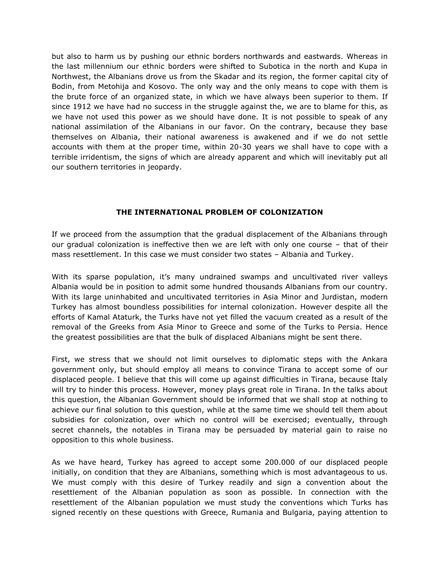but also to harm us by pushing our ethnic borders northwards and eastwards. Whereas in the last millennium our ethnic borders were shifted to Subotica in the north and Kupa in Northwest, the Albanians drove us from the Skadar and its region, the former capital city of Bodin, from Metohija and Kosovo. The only way and the only means to cope with them is the brute force of an organized state, in which we have always been superior to them. If since 1912 we have had no success in the struggle against the, we are to blame for this, as we have not used this power as we should have done. It is not possible to speak of any national assimilation of the Albanians in our favor. On the contrary, because they base themselves on Albania, their national awareness is awakened and if we do not settle accounts with them at the proper time, within 20-30 years we shall have to cope with a terrible irridentism, the signs of which are already apparent and which will inevitably put all our southern territories in jeopardy.

## **THE INTERNATIONAL PROBLEM OF COLONIZATION**

If we proceed from the assumption that the gradual displacement of the Albanians through our gradual colonization is ineffective then we are left with only one course – that of their mass resettlement. In this case we must consider two states – Albania and Turkey.

With its sparse population, it's many undrained swamps and uncultivated river valleys Albania would be in position to admit some hundred thousands Albanians from our country. With its large uninhabited and uncultivated territories in Asia Minor and Jurdistan, modern Turkey has almost boundless possibilities for internal colonization. However despite all the efforts of Kamal Ataturk, the Turks have not yet filled the vacuum created as a result of the removal of the Greeks from Asia Minor to Greece and some of the Turks to Persia. Hence the greatest possibilities are that the bulk of displaced Albanians might be sent there.

First, we stress that we should not limit ourselves to diplomatic steps with the Ankara government only, but should employ all means to convince Tirana to accept some of our displaced people. I believe that this will come up against difficulties in Tirana, because Italy will try to hinder this process. However, money plays great role in Tirana. In the talks about this question, the Albanian Government should be informed that we shall stop at nothing to achieve our final solution to this question, while at the same time we should tell them about subsidies for colonization, over which no control will be exercised; eventually, through secret channels, the notables in Tirana may be persuaded by material gain to raise no opposition to this whole business.

As we have heard, Turkey has agreed to accept some 200.000 of our displaced people initially, on condition that they are Albanians, something which is most advantageous to us. We must comply with this desire of Turkey readily and sign a convention about the resettlement of the Albanian population as soon as possible. In connection with the resettlement of the Albanian population we must study the conventions which Turks has signed recently on these questions with Greece, Rumania and Bulgaria, paying attention to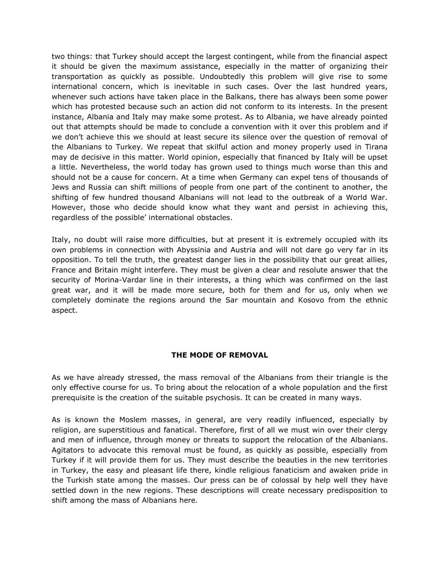two things: that Turkey should accept the largest contingent, while from the financial aspect it should be given the maximum assistance, especially in the matter of organizing their transportation as quickly as possible. Undoubtedly this problem will give rise to some international concern, which is inevitable in such cases. Over the last hundred years, whenever such actions have taken place in the Balkans, there has always been some power which has protested because such an action did not conform to its interests. In the present instance, Albania and Italy may make some protest. As to Albania, we have already pointed out that attempts should be made to conclude a convention with it over this problem and if we don't achieve this we should at least secure its silence over the question of removal of the Albanians to Turkey. We repeat that skilful action and money properly used in Tirana may de decisive in this matter. World opinion, especially that financed by Italy will be upset a little. Nevertheless, the world today has grown used to things much worse than this and should not be a cause for concern. At a time when Germany can expel tens of thousands of Jews and Russia can shift millions of people from one part of the continent to another, the shifting of few hundred thousand Albanians will not lead to the outbreak of a World War. However, those who decide should know what they want and persist in achieving this, regardless of the possible' international obstacles.

Italy, no doubt will raise more difficulties, but at present it is extremely occupied with its own problems in connection with Abyssinia and Austria and will not dare go very far in its opposition. To tell the truth, the greatest danger lies in the possibility that our great allies, France and Britain might interfere. They must be given a clear and resolute answer that the security of Morina-Vardar line in their interests, a thing which was confirmed on the last great war, and it will be made more secure, both for them and for us, only when we completely dominate the regions around the Sar mountain and Kosovo from the ethnic aspect.

## **THE MODE OF REMOVAL**

As we have already stressed, the mass removal of the Albanians from their triangle is the only effective course for us. To bring about the relocation of a whole population and the first prerequisite is the creation of the suitable psychosis. It can be created in many ways.

As is known the Moslem masses, in general, are very readily influenced, especially by religion, are superstitious and fanatical. Therefore, first of all we must win over their clergy and men of influence, through money or threats to support the relocation of the Albanians. Agitators to advocate this removal must be found, as quickly as possible, especially from Turkey if it will provide them for us. They must describe the beauties in the new territories in Turkey, the easy and pleasant life there, kindle religious fanaticism and awaken pride in the Turkish state among the masses. Our press can be of colossal by help well they have settled down in the new regions. These descriptions will create necessary predisposition to shift among the mass of Albanians here.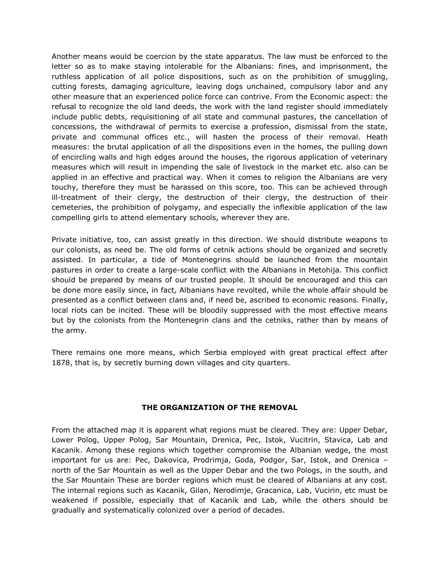Another means would be coercion by the state apparatus. The law must be enforced to the letter so as to make staying intolerable for the Albanians: fines, and imprisonment, the ruthless application of all police dispositions, such as on the prohibition of smuggling, cutting forests, damaging agriculture, leaving dogs unchained, compulsory labor and any other measure that an experienced police force can contrive. From the Economic aspect: the refusal to recognize the old land deeds, the work with the land register should immediately include public debts, requisitioning of all state and communal pastures, the cancellation of concessions, the withdrawal of permits to exercise a profession, dismissal from the state, private and communal offices etc., will hasten the process of their removal. Heath measures: the brutal application of all the dispositions even in the homes, the pulling down of encircling walls and high edges around the houses, the rigorous application of veterinary measures which will result in impending the sale of livestock in the market etc. also can be applied in an effective and practical way. When it comes to religion the Albanians are very touchy, therefore they must be harassed on this score, too. This can be achieved through ill-treatment of their clergy, the destruction of their clergy, the destruction of their cemeteries, the prohibition of polygamy, and especially the inflexible application of the law compelling girls to attend elementary schools, wherever they are.

Private initiative, too, can assist greatly in this direction. We should distribute weapons to our colonists, as need be. The old forms of cetnik actions should be organized and secretly assisted. In particular, a tide of Montenegrins should be launched from the mountain pastures in order to create a large-scale conflict with the Albanians in Metohija. This conflict should be prepared by means of our trusted people. It should be encouraged and this can be done more easily since, in fact, Albanians have revolted, while the whole affair should be presented as a conflict between clans and, if need be, ascribed to economic reasons. Finally, local riots can be incited. These will be bloodily suppressed with the most effective means but by the colonists from the Montenegrin clans and the cetniks, rather than by means of the army.

There remains one more means, which Serbia employed with great practical effect after 1878, that is, by secretly burning down villages and city quarters.

## **THE ORGANIZATION OF THE REMOVAL**

From the attached map it is apparent what regions must be cleared. They are: Upper Debar, Lower Polog, Upper Polog, Sar Mountain, Drenica, Pec, Istok, Vucitrin, Stavica, Lab and Kacanik. Among these regions which together compromise the Albanian wedge, the most important for us are: Pec, Dakovica, Prodrimja, Goda, Podgor, Sar, Istok, and Drenica – north of the Sar Mountain as well as the Upper Debar and the two Pologs, in the south, and the Sar Mountain These are border regions which must be cleared of Albanians at any cost. The internal regions such as Kacanik, Gilan, Nerodimje, Gracanica, Lab, Vucirin, etc must be weakened if possible, especially that of Kacanik and Lab, while the others should be gradually and systematically colonized over a period of decades.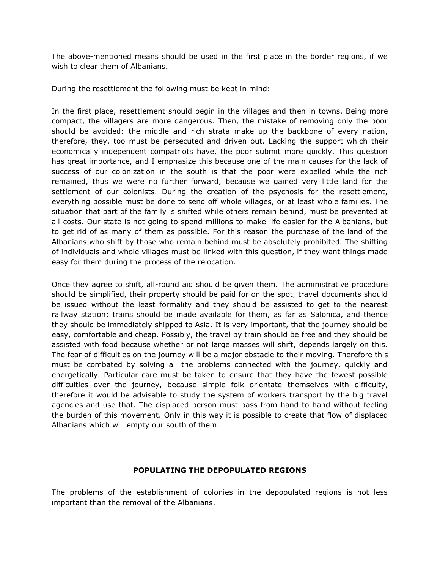The above-mentioned means should be used in the first place in the border regions, if we wish to clear them of Albanians.

During the resettlement the following must be kept in mind:

In the first place, resettlement should begin in the villages and then in towns. Being more compact, the villagers are more dangerous. Then, the mistake of removing only the poor should be avoided: the middle and rich strata make up the backbone of every nation, therefore, they, too must be persecuted and driven out. Lacking the support which their economically independent compatriots have, the poor submit more quickly. This question has great importance, and I emphasize this because one of the main causes for the lack of success of our colonization in the south is that the poor were expelled while the rich remained, thus we were no further forward, because we gained very little land for the settlement of our colonists. During the creation of the psychosis for the resettlement, everything possible must be done to send off whole villages, or at least whole families. The situation that part of the family is shifted while others remain behind, must be prevented at all costs. Our state is not going to spend millions to make life easier for the Albanians, but to get rid of as many of them as possible. For this reason the purchase of the land of the Albanians who shift by those who remain behind must be absolutely prohibited. The shifting of individuals and whole villages must be linked with this question, if they want things made easy for them during the process of the relocation.

Once they agree to shift, all-round aid should be given them. The administrative procedure should be simplified, their property should be paid for on the spot, travel documents should be issued without the least formality and they should be assisted to get to the nearest railway station; trains should be made available for them, as far as Salonica, and thence they should be immediately shipped to Asia. It is very important, that the journey should be easy, comfortable and cheap. Possibly, the travel by train should be free and they should be assisted with food because whether or not large masses will shift, depends largely on this. The fear of difficulties on the journey will be a major obstacle to their moving. Therefore this must be combated by solving all the problems connected with the journey, quickly and energetically. Particular care must be taken to ensure that they have the fewest possible difficulties over the journey, because simple folk orientate themselves with difficulty, therefore it would be advisable to study the system of workers transport by the big travel agencies and use that. The displaced person must pass from hand to hand without feeling the burden of this movement. Only in this way it is possible to create that flow of displaced Albanians which will empty our south of them.

## **POPULATING THE DEPOPULATED REGIONS**

The problems of the establishment of colonies in the depopulated regions is not less important than the removal of the Albanians.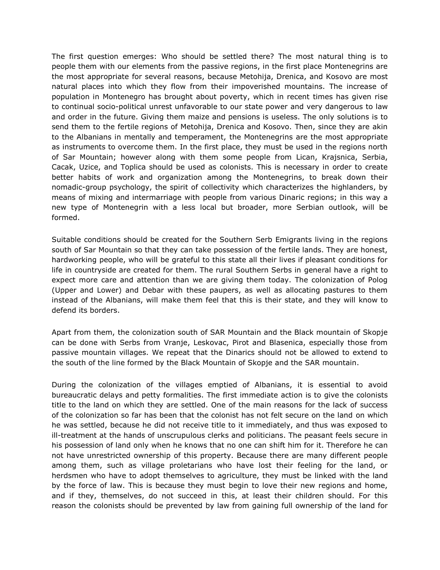The first question emerges: Who should be settled there? The most natural thing is to people them with our elements from the passive regions, in the first place Montenegrins are the most appropriate for several reasons, because Metohija, Drenica, and Kosovo are most natural places into which they flow from their impoverished mountains. The increase of population in Montenegro has brought about poverty, which in recent times has given rise to continual socio-political unrest unfavorable to our state power and very dangerous to law and order in the future. Giving them maize and pensions is useless. The only solutions is to send them to the fertile regions of Metohija, Drenica and Kosovo. Then, since they are akin to the Albanians in mentally and temperament, the Montenegrins are the most appropriate as instruments to overcome them. In the first place, they must be used in the regions north of Sar Mountain; however along with them some people from Lican, Krajsnica, Serbia, Cacak, Uzice, and Toplica should be used as colonists. This is necessary in order to create better habits of work and organization among the Montenegrins, to break down their nomadic-group psychology, the spirit of collectivity which characterizes the highlanders, by means of mixing and intermarriage with people from various Dinaric regions; in this way a new type of Montenegrin with a less local but broader, more Serbian outlook, will be formed.

Suitable conditions should be created for the Southern Serb Emigrants living in the regions south of Sar Mountain so that they can take possession of the fertile lands. They are honest, hardworking people, who will be grateful to this state all their lives if pleasant conditions for life in countryside are created for them. The rural Southern Serbs in general have a right to expect more care and attention than we are giving them today. The colonization of Polog (Upper and Lower) and Debar with these paupers, as well as allocating pastures to them instead of the Albanians, will make them feel that this is their state, and they will know to defend its borders.

Apart from them, the colonization south of SAR Mountain and the Black mountain of Skopje can be done with Serbs from Vranje, Leskovac, Pirot and Blasenica, especially those from passive mountain villages. We repeat that the Dinarics should not be allowed to extend to the south of the line formed by the Black Mountain of Skopje and the SAR mountain.

During the colonization of the villages emptied of Albanians, it is essential to avoid bureaucratic delays and petty formalities. The first immediate action is to give the colonists title to the land on which they are settled. One of the main reasons for the lack of success of the colonization so far has been that the colonist has not felt secure on the land on which he was settled, because he did not receive title to it immediately, and thus was exposed to ill-treatment at the hands of unscrupulous clerks and politicians. The peasant feels secure in his possession of land only when he knows that no one can shift him for it. Therefore he can not have unrestricted ownership of this property. Because there are many different people among them, such as village proletarians who have lost their feeling for the land, or herdsmen who have to adopt themselves to agriculture, they must be linked with the land by the force of law. This is because they must begin to love their new regions and home, and if they, themselves, do not succeed in this, at least their children should. For this reason the colonists should be prevented by law from gaining full ownership of the land for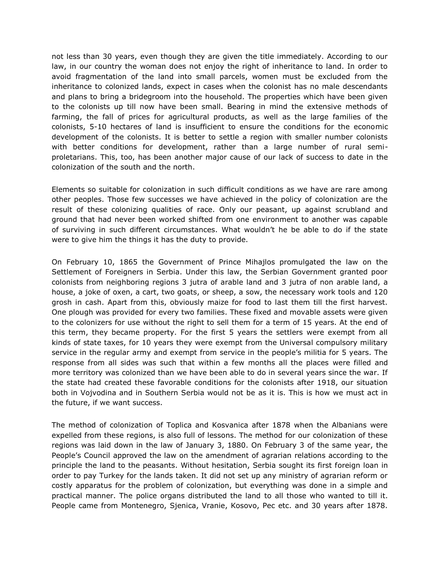not less than 30 years, even though they are given the title immediately. According to our law, in our country the woman does not enjoy the right of inheritance to land. In order to avoid fragmentation of the land into small parcels, women must be excluded from the inheritance to colonized lands, expect in cases when the colonist has no male descendants and plans to bring a bridegroom into the household. The properties which have been given to the colonists up till now have been small. Bearing in mind the extensive methods of farming, the fall of prices for agricultural products, as well as the large families of the colonists, 5-10 hectares of land is insufficient to ensure the conditions for the economic development of the colonists. It is better to settle a region with smaller number colonists with better conditions for development, rather than a large number of rural semiproletarians. This, too, has been another major cause of our lack of success to date in the colonization of the south and the north.

Elements so suitable for colonization in such difficult conditions as we have are rare among other peoples. Those few successes we have achieved in the policy of colonization are the result of these colonizing qualities of race. Only our peasant, up against scrubland and ground that had never been worked shifted from one environment to another was capable of surviving in such different circumstances. What wouldn't he be able to do if the state were to give him the things it has the duty to provide.

On February 10, 1865 the Government of Prince Mihajlos promulgated the law on the Settlement of Foreigners in Serbia. Under this law, the Serbian Government granted poor colonists from neighboring regions 3 jutra of arable land and 3 jutra of non arable land, a house, a joke of oxen, a cart, two goats, or sheep, a sow, the necessary work tools and 120 grosh in cash. Apart from this, obviously maize for food to last them till the first harvest. One plough was provided for every two families. These fixed and movable assets were given to the colonizers for use without the right to sell them for a term of 15 years. At the end of this term, they became property. For the first 5 years the settlers were exempt from all kinds of state taxes, for 10 years they were exempt from the Universal compulsory military service in the regular army and exempt from service in the people's militia for 5 years. The response from all sides was such that within a few months all the places were filled and more territory was colonized than we have been able to do in several years since the war. If the state had created these favorable conditions for the colonists after 1918, our situation both in Vojvodina and in Southern Serbia would not be as it is. This is how we must act in the future, if we want success.

The method of colonization of Toplica and Kosvanica after 1878 when the Albanians were expelled from these regions, is also full of lessons. The method for our colonization of these regions was laid down in the law of January 3, 1880. On February 3 of the same year, the People's Council approved the law on the amendment of agrarian relations according to the principle the land to the peasants. Without hesitation, Serbia sought its first foreign loan in order to pay Turkey for the lands taken. It did not set up any ministry of agrarian reform or costly apparatus for the problem of colonization, but everything was done in a simple and practical manner. The police organs distributed the land to all those who wanted to till it. People came from Montenegro, Sjenica, Vranie, Kosovo, Pec etc. and 30 years after 1878.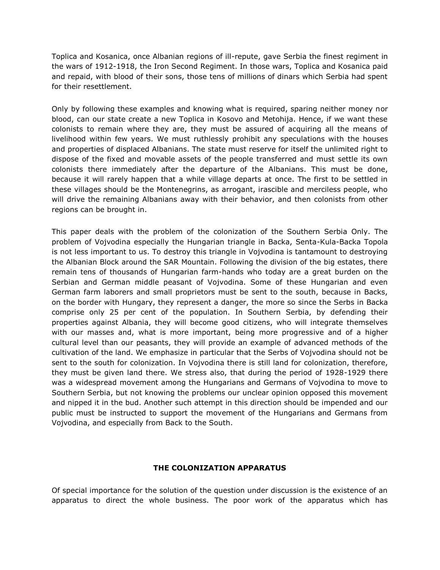Toplica and Kosanica, once Albanian regions of ill-repute, gave Serbia the finest regiment in the wars of 1912-1918, the Iron Second Regiment. In those wars, Toplica and Kosanica paid and repaid, with blood of their sons, those tens of millions of dinars which Serbia had spent for their resettlement.

Only by following these examples and knowing what is required, sparing neither money nor blood, can our state create a new Toplica in Kosovo and Metohija. Hence, if we want these colonists to remain where they are, they must be assured of acquiring all the means of livelihood within few years. We must ruthlessly prohibit any speculations with the houses and properties of displaced Albanians. The state must reserve for itself the unlimited right to dispose of the fixed and movable assets of the people transferred and must settle its own colonists there immediately after the departure of the Albanians. This must be done, because it will rarely happen that a while village departs at once. The first to be settled in these villages should be the Montenegrins, as arrogant, irascible and merciless people, who will drive the remaining Albanians away with their behavior, and then colonists from other regions can be brought in.

This paper deals with the problem of the colonization of the Southern Serbia Only. The problem of Vojvodina especially the Hungarian triangle in Backa, Senta-Kula-Backa Topola is not less important to us. To destroy this triangle in Vojvodina is tantamount to destroying the Albanian Block around the SAR Mountain. Following the division of the big estates, there remain tens of thousands of Hungarian farm-hands who today are a great burden on the Serbian and German middle peasant of Vojvodina. Some of these Hungarian and even German farm laborers and small proprietors must be sent to the south, because in Backs, on the border with Hungary, they represent a danger, the more so since the Serbs in Backa comprise only 25 per cent of the population. In Southern Serbia, by defending their properties against Albania, they will become good citizens, who will integrate themselves with our masses and, what is more important, being more progressive and of a higher cultural level than our peasants, they will provide an example of advanced methods of the cultivation of the land. We emphasize in particular that the Serbs of Vojvodina should not be sent to the south for colonization. In Vojvodina there is still land for colonization, therefore, they must be given land there. We stress also, that during the period of 1928-1929 there was a widespread movement among the Hungarians and Germans of Vojvodina to move to Southern Serbia, but not knowing the problems our unclear opinion opposed this movement and nipped it in the bud. Another such attempt in this direction should be impended and our public must be instructed to support the movement of the Hungarians and Germans from Vojvodina, and especially from Back to the South.

## **THE COLONIZATION APPARATUS**

Of special importance for the solution of the question under discussion is the existence of an apparatus to direct the whole business. The poor work of the apparatus which has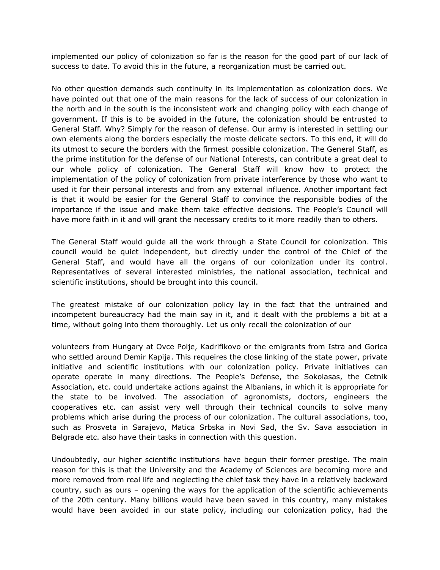implemented our policy of colonization so far is the reason for the good part of our lack of success to date. To avoid this in the future, a reorganization must be carried out.

No other question demands such continuity in its implementation as colonization does. We have pointed out that one of the main reasons for the lack of success of our colonization in the north and in the south is the inconsistent work and changing policy with each change of government. If this is to be avoided in the future, the colonization should be entrusted to General Staff. Why? Simply for the reason of defense. Our army is interested in settling our own elements along the borders especially the moste delicate sectors. To this end, it will do its utmost to secure the borders with the firmest possible colonization. The General Staff, as the prime institution for the defense of our National Interests, can contribute a great deal to our whole policy of colonization. The General Staff will know how to protect the implementation of the policy of colonization from private interference by those who want to used it for their personal interests and from any external influence. Another important fact is that it would be easier for the General Staff to convince the responsible bodies of the importance if the issue and make them take effective decisions. The People's Council will have more faith in it and will grant the necessary credits to it more readily than to others.

The General Staff would guide all the work through a State Council for colonization. This council would be quiet independent, but directly under the control of the Chief of the General Staff, and would have all the organs of our colonization under its control. Representatives of several interested ministries, the national association, technical and scientific institutions, should be brought into this council.

The greatest mistake of our colonization policy lay in the fact that the untrained and incompetent bureaucracy had the main say in it, and it dealt with the problems a bit at a time, without going into them thoroughly. Let us only recall the colonization of our

volunteers from Hungary at Ovce Polje, Kadrifikovo or the emigrants from Istra and Gorica who settled around Demir Kapija. This requeires the close linking of the state power, private initiative and scientific institutions with our colonization policy. Private initiatives can operate operate in many directions. The People's Defense, the Sokolasas, the Cetnik Association, etc. could undertake actions against the Albanians, in which it is appropriate for the state to be involved. The association of agronomists, doctors, engineers the cooperatives etc. can assist very well through their technical councils to solve many problems which arise during the process of our colonization. The cultural associations, too, such as Prosveta in Sarajevo, Matica Srbska in Novi Sad, the Sv. Sava association in Belgrade etc. also have their tasks in connection with this question.

Undoubtedly, our higher scientific institutions have begun their former prestige. The main reason for this is that the University and the Academy of Sciences are becoming more and more removed from real life and neglecting the chief task they have in a relatively backward country, such as ours – opening the ways for the application of the scientific achievements of the 20th century. Many billions would have been saved in this country, many mistakes would have been avoided in our state policy, including our colonization policy, had the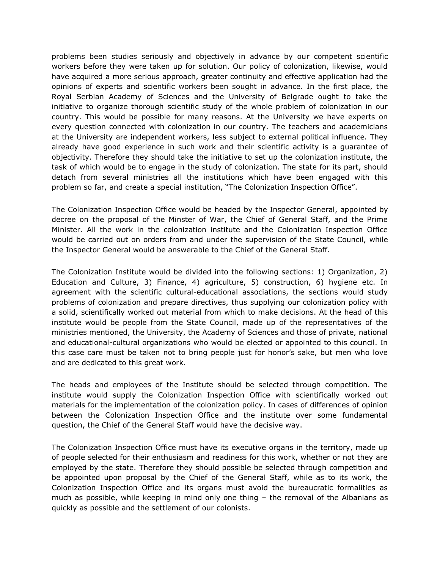problems been studies seriously and objectively in advance by our competent scientific workers before they were taken up for solution. Our policy of colonization, likewise, would have acquired a more serious approach, greater continuity and effective application had the opinions of experts and scientific workers been sought in advance. In the first place, the Royal Serbian Academy of Sciences and the University of Belgrade ought to take the initiative to organize thorough scientific study of the whole problem of colonization in our country. This would be possible for many reasons. At the University we have experts on every question connected with colonization in our country. The teachers and academicians at the University are independent workers, less subject to external political influence. They already have good experience in such work and their scientific activity is a guarantee of objectivity. Therefore they should take the initiative to set up the colonization institute, the task of which would be to engage in the study of colonization. The state for its part, should detach from several ministries all the institutions which have been engaged with this problem so far, and create a special institution, "The Colonization Inspection Office".

The Colonization Inspection Office would be headed by the Inspector General, appointed by decree on the proposal of the Minster of War, the Chief of General Staff, and the Prime Minister. All the work in the colonization institute and the Colonization Inspection Office would be carried out on orders from and under the supervision of the State Council, while the Inspector General would be answerable to the Chief of the General Staff.

The Colonization Institute would be divided into the following sections: 1) Organization, 2) Education and Culture, 3) Finance, 4) agriculture, 5) construction, 6) hygiene etc. In agreement with the scientific cultural-educational associations, the sections would study problems of colonization and prepare directives, thus supplying our colonization policy with a solid, scientifically worked out material from which to make decisions. At the head of this institute would be people from the State Council, made up of the representatives of the ministries mentioned, the University, the Academy of Sciences and those of private, national and educational-cultural organizations who would be elected or appointed to this council. In this case care must be taken not to bring people just for honor's sake, but men who love and are dedicated to this great work.

The heads and employees of the Institute should be selected through competition. The institute would supply the Colonization Inspection Office with scientifically worked out materials for the implementation of the colonization policy. In cases of differences of opinion between the Colonization Inspection Office and the institute over some fundamental question, the Chief of the General Staff would have the decisive way.

The Colonization Inspection Office must have its executive organs in the territory, made up of people selected for their enthusiasm and readiness for this work, whether or not they are employed by the state. Therefore they should possible be selected through competition and be appointed upon proposal by the Chief of the General Staff, while as to its work, the Colonization Inspection Office and its organs must avoid the bureaucratic formalities as much as possible, while keeping in mind only one thing – the removal of the Albanians as quickly as possible and the settlement of our colonists.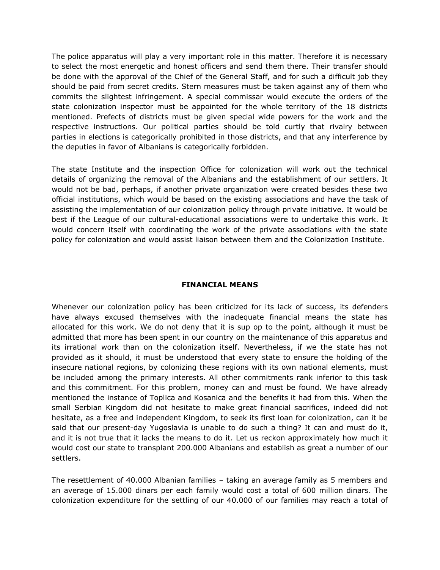The police apparatus will play a very important role in this matter. Therefore it is necessary to select the most energetic and honest officers and send them there. Their transfer should be done with the approval of the Chief of the General Staff, and for such a difficult job they should be paid from secret credits. Stern measures must be taken against any of them who commits the slightest infringement. A special commissar would execute the orders of the state colonization inspector must be appointed for the whole territory of the 18 districts mentioned. Prefects of districts must be given special wide powers for the work and the respective instructions. Our political parties should be told curtly that rivalry between parties in elections is categorically prohibited in those districts, and that any interference by the deputies in favor of Albanians is categorically forbidden.

The state Institute and the inspection Office for colonization will work out the technical details of organizing the removal of the Albanians and the establishment of our settlers. It would not be bad, perhaps, if another private organization were created besides these two official institutions, which would be based on the existing associations and have the task of assisting the implementation of our colonization policy through private initiative. It would be best if the League of our cultural-educational associations were to undertake this work. It would concern itself with coordinating the work of the private associations with the state policy for colonization and would assist liaison between them and the Colonization Institute.

## **FINANCIAL MEANS**

Whenever our colonization policy has been criticized for its lack of success, its defenders have always excused themselves with the inadequate financial means the state has allocated for this work. We do not deny that it is sup op to the point, although it must be admitted that more has been spent in our country on the maintenance of this apparatus and its irrational work than on the colonization itself. Nevertheless, if we the state has not provided as it should, it must be understood that every state to ensure the holding of the insecure national regions, by colonizing these regions with its own national elements, must be included among the primary interests. All other commitments rank inferior to this task and this commitment. For this problem, money can and must be found. We have already mentioned the instance of Toplica and Kosanica and the benefits it had from this. When the small Serbian Kingdom did not hesitate to make great financial sacrifices, indeed did not hesitate, as a free and independent Kingdom, to seek its first loan for colonization, can it be said that our present-day Yugoslavia is unable to do such a thing? It can and must do it, and it is not true that it lacks the means to do it. Let us reckon approximately how much it would cost our state to transplant 200.000 Albanians and establish as great a number of our settlers.

The resettlement of 40.000 Albanian families – taking an average family as 5 members and an average of 15.000 dinars per each family would cost a total of 600 million dinars. The colonization expenditure for the settling of our 40.000 of our families may reach a total of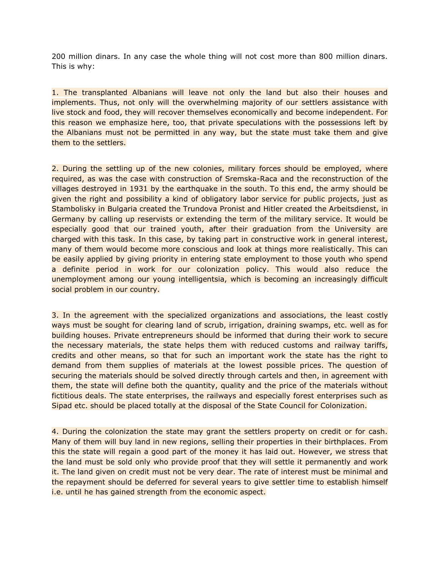200 million dinars. In any case the whole thing will not cost more than 800 million dinars. This is why:

1. The transplanted Albanians will leave not only the land but also their houses and implements. Thus, not only will the overwhelming majority of our settlers assistance with live stock and food, they will recover themselves economically and become independent. For this reason we emphasize here, too, that private speculations with the possessions left by the Albanians must not be permitted in any way, but the state must take them and give them to the settlers.

2. During the settling up of the new colonies, military forces should be employed, where required, as was the case with construction of Sremska-Raca and the reconstruction of the villages destroyed in 1931 by the earthquake in the south. To this end, the army should be given the right and possibility a kind of obligatory labor service for public projects, just as Stambolisky in Bulgaria created the Trundova Pronist and Hitler created the Arbeitsdienst, in Germany by calling up reservists or extending the term of the military service. It would be especially good that our trained youth, after their graduation from the University are charged with this task. In this case, by taking part in constructive work in general interest, many of them would become more conscious and look at things more realistically. This can be easily applied by giving priority in entering state employment to those youth who spend a definite period in work for our colonization policy. This would also reduce the unemployment among our young intelligentsia, which is becoming an increasingly difficult social problem in our country.

3. In the agreement with the specialized organizations and associations, the least costly ways must be sought for clearing land of scrub, irrigation, draining swamps, etc. well as for building houses. Private entrepreneurs should be informed that during their work to secure the necessary materials, the state helps them with reduced customs and railway tariffs, credits and other means, so that for such an important work the state has the right to demand from them supplies of materials at the lowest possible prices. The question of securing the materials should be solved directly through cartels and then, in agreement with them, the state will define both the quantity, quality and the price of the materials without fictitious deals. The state enterprises, the railways and especially forest enterprises such as Sipad etc. should be placed totally at the disposal of the State Council for Colonization.

4. During the colonization the state may grant the settlers property on credit or for cash. Many of them will buy land in new regions, selling their properties in their birthplaces. From this the state will regain a good part of the money it has laid out. However, we stress that the land must be sold only who provide proof that they will settle it permanently and work it. The land given on credit must not be very dear. The rate of interest must be minimal and the repayment should be deferred for several years to give settler time to establish himself i.e. until he has gained strength from the economic aspect.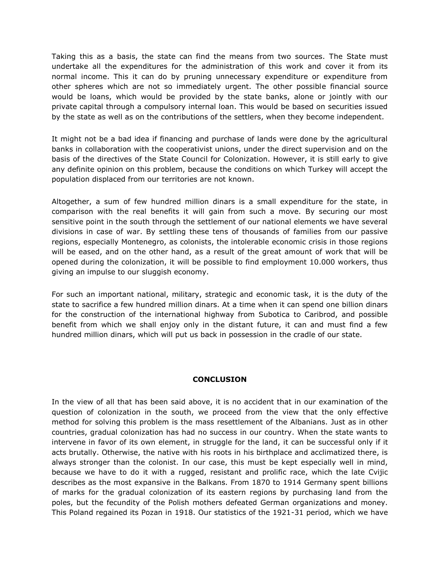Taking this as a basis, the state can find the means from two sources. The State must undertake all the expenditures for the administration of this work and cover it from its normal income. This it can do by pruning unnecessary expenditure or expenditure from other spheres which are not so immediately urgent. The other possible financial source would be loans, which would be provided by the state banks, alone or jointly with our private capital through a compulsory internal loan. This would be based on securities issued by the state as well as on the contributions of the settlers, when they become independent.

It might not be a bad idea if financing and purchase of lands were done by the agricultural banks in collaboration with the cooperativist unions, under the direct supervision and on the basis of the directives of the State Council for Colonization. However, it is still early to give any definite opinion on this problem, because the conditions on which Turkey will accept the population displaced from our territories are not known.

Altogether, a sum of few hundred million dinars is a small expenditure for the state, in comparison with the real benefits it will gain from such a move. By securing our most sensitive point in the south through the settlement of our national elements we have several divisions in case of war. By settling these tens of thousands of families from our passive regions, especially Montenegro, as colonists, the intolerable economic crisis in those regions will be eased, and on the other hand, as a result of the great amount of work that will be opened during the colonization, it will be possible to find employment 10.000 workers, thus giving an impulse to our sluggish economy.

For such an important national, military, strategic and economic task, it is the duty of the state to sacrifice a few hundred million dinars. At a time when it can spend one billion dinars for the construction of the international highway from Subotica to Caribrod, and possible benefit from which we shall enjoy only in the distant future, it can and must find a few hundred million dinars, which will put us back in possession in the cradle of our state.

## **CONCLUSION**

In the view of all that has been said above, it is no accident that in our examination of the question of colonization in the south, we proceed from the view that the only effective method for solving this problem is the mass resettlement of the Albanians. Just as in other countries, gradual colonization has had no success in our country. When the state wants to intervene in favor of its own element, in struggle for the land, it can be successful only if it acts brutally. Otherwise, the native with his roots in his birthplace and acclimatized there, is always stronger than the colonist. In our case, this must be kept especially well in mind, because we have to do it with a rugged, resistant and prolific race, which the late Cvijic describes as the most expansive in the Balkans. From 1870 to 1914 Germany spent billions of marks for the gradual colonization of its eastern regions by purchasing land from the poles, but the fecundity of the Polish mothers defeated German organizations and money. This Poland regained its Pozan in 1918. Our statistics of the 1921-31 period, which we have